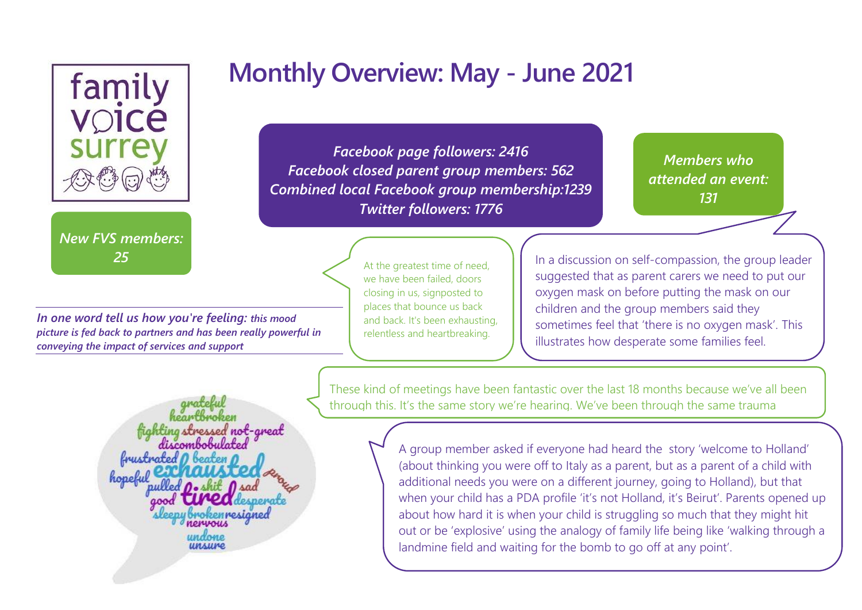

*New FVS members: 25*

*In one word tell us how you're feeling: this mood picture is fed back to partners and has been really powerful in conveying the impact of services and support*

**Monthly Overview: May - June 2021**

*Facebook page followers: 2416 Facebook closed parent group members: 562 Combined local Facebook group membership:1239 Twitter followers: 1776*

> At the greatest time of need, we have been failed, doors closing in us, signposted to places that bounce us back and back. It's been exhausting, relentless and heartbreaking.

*Members who attended an event: 131*

*49*

In a discussion on self-compassion, the group leader suggested that as parent carers we need to put our oxygen mask on before putting the mask on our children and the group members said they sometimes feel that 'there is no oxygen mask'. This illustrates how desperate some families feel.

These kind of meetings have been fantastic over the last 18 months because we've all been through this. It's the same story we're hearing. We've been through the same trauma

> A group member asked if everyone had heard the story 'welcome to Holland' (about thinking you were off to Italy as a parent, but as a parent of a child with additional needs you were on a different journey, going to Holland), but that when your child has a PDA profile 'it's not Holland, it's Beirut'. Parents opened up about how hard it is when your child is struggling so much that they might hit out or be 'explosive' using the analogy of family life being like 'walking through a landmine field and waiting for the bomb to go off at any point'.

fiahting stressed not-areat foustrated rennesianed **ИОИЦИМИ** unsure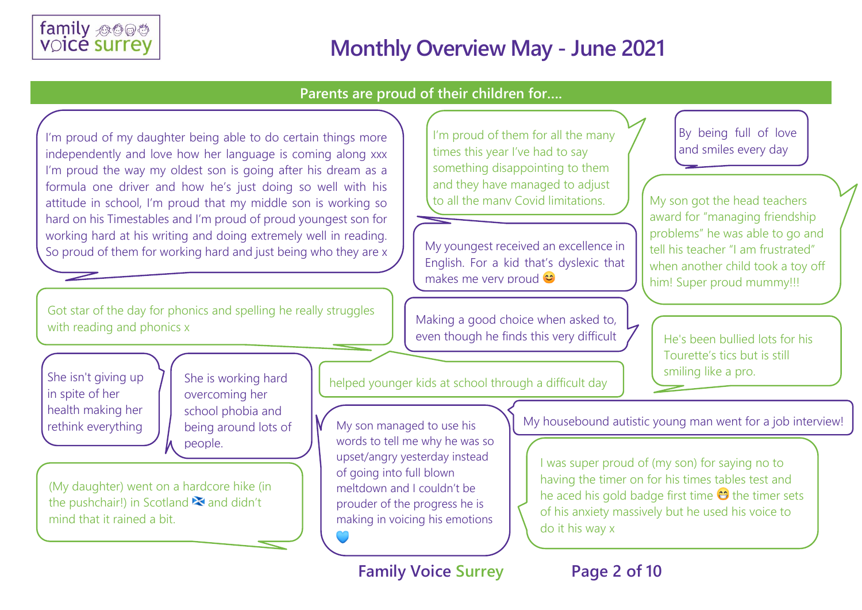

#### **Parents are proud of their children for….**

I'm proud of my daughter being able to do certain things more independently and love how her language is coming along xxx I'm proud the way my oldest son is going after his dream as a formula one driver and how he's just doing so well with his attitude in school, I'm proud that my middle son is working so hard on his Timestables and I'm proud of proud youngest son for working hard at his writing and doing extremely well in reading. So proud of them for working hard and just being who they are x

Got star of the day for phonics and spelling he really struggles with reading and phonics x

She isn't giving up in spite of her health making her She is working hard overcoming her school phobia and being around lots of people.

(My daughter) went on a hardcore hike (in the pushchair!) in Scotland  $\blacktriangleright$  and didn't mind that it rained a bit.

I'm proud of them for all the many times this year I've had to say something disappointing to them and they have managed to adjust to all the many Covid limitations.

My youngest received an excellence in English. For a kid that's dyslexic that makes me very proud **€** 

Making a good choice when asked to, even though he finds this very difficult By being full of love and smiles every day

My son got the head teachers award for "managing friendship problems" he was able to go and tell his teacher "I am frustrated" when another child took a toy off him! Super proud mummy!!!

He's been bullied lots for his Tourette's tics but is still smiling like a pro.

helped younger kids at school through a difficult day

•

My son managed to use his words to tell me why he was so upset/angry yesterday instead of going into full blown meltdown and I couldn't be prouder of the progress he is making in voicing his emotions

•

rethink everything  $\begin{bmatrix} \end{bmatrix}$  being around lots of  $\begin{bmatrix} \mathsf{W} \end{bmatrix}$  My son managed to use his  $\begin{bmatrix} \end{bmatrix}$  My housebound autistic young man went for a job interview!

I was super proud of (my son) for saying no to having the timer on for his times tables test and he aced his gold badge first time  $\Theta$  the timer sets of his anxiety massively but he used his voice to do it his way x

**Family Voice Surrey Page 2 of 10**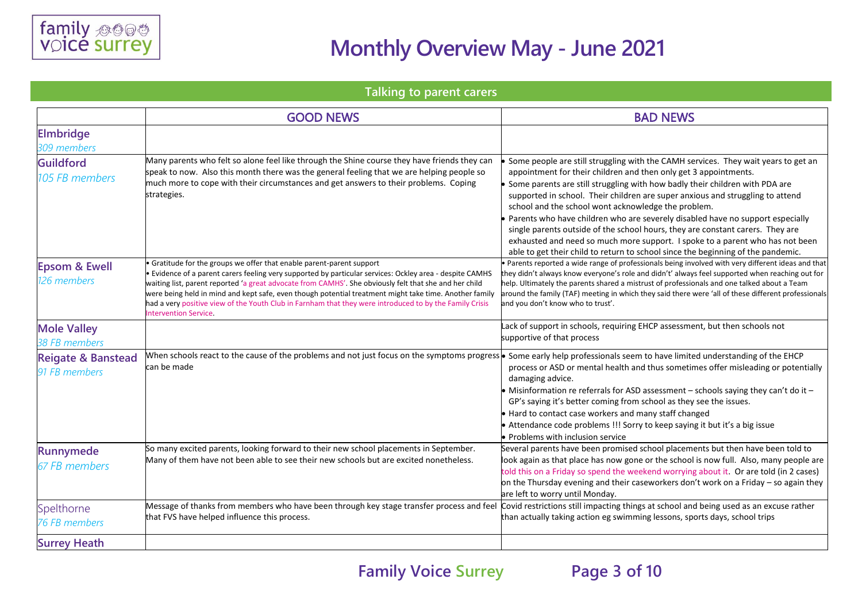

#### **Talking to parent carers**

|                                                | <b>GOOD NEWS</b>                                                                                                                                                                                                                                                                                                                                                                                                                                                                                                                               | <b>BAD NEWS</b>                                                                                                                                                                                                                                                                                                                                                                                                                                                                                                                                                                                                                                                                                                          |
|------------------------------------------------|------------------------------------------------------------------------------------------------------------------------------------------------------------------------------------------------------------------------------------------------------------------------------------------------------------------------------------------------------------------------------------------------------------------------------------------------------------------------------------------------------------------------------------------------|--------------------------------------------------------------------------------------------------------------------------------------------------------------------------------------------------------------------------------------------------------------------------------------------------------------------------------------------------------------------------------------------------------------------------------------------------------------------------------------------------------------------------------------------------------------------------------------------------------------------------------------------------------------------------------------------------------------------------|
| <b>Elmbridge</b><br>309 members                |                                                                                                                                                                                                                                                                                                                                                                                                                                                                                                                                                |                                                                                                                                                                                                                                                                                                                                                                                                                                                                                                                                                                                                                                                                                                                          |
| <b>Guildford</b><br>105 FB members             | Many parents who felt so alone feel like through the Shine course they have friends they can<br>speak to now. Also this month there was the general feeling that we are helping people so<br>much more to cope with their circumstances and get answers to their problems. Coping<br>strategies.                                                                                                                                                                                                                                               | Some people are still struggling with the CAMH services. They wait years to get an<br>appointment for their children and then only get 3 appointments.<br>Some parents are still struggling with how badly their children with PDA are<br>supported in school. Their children are super anxious and struggling to attend<br>school and the school wont acknowledge the problem.<br>Parents who have children who are severely disabled have no support especially<br>single parents outside of the school hours, they are constant carers. They are<br>exhausted and need so much more support. I spoke to a parent who has not been<br>able to get their child to return to school since the beginning of the pandemic. |
| <b>Epsom &amp; Ewell</b><br>126 members        | Gratitude for the groups we offer that enable parent-parent support<br>· Evidence of a parent carers feeling very supported by particular services: Ockley area - despite CAMHS<br>waiting list, parent reported 'a great advocate from CAMHS'. She obviously felt that she and her child<br>were being held in mind and kept safe, even though potential treatment might take time. Another family<br>had a very positive view of the Youth Club in Farnham that they were introduced to by the Family Crisis<br><b>Intervention Service.</b> | Parents reported a wide range of professionals being involved with very different ideas and that<br>they didn't always know everyone's role and didn't' always feel supported when reaching out for<br>help. Ultimately the parents shared a mistrust of professionals and one talked about a Team<br>around the family (TAF) meeting in which they said there were 'all of these different professionals<br>and you don't know who to trust'.                                                                                                                                                                                                                                                                           |
| <b>Mole Valley</b><br><b>38 FB members</b>     |                                                                                                                                                                                                                                                                                                                                                                                                                                                                                                                                                | Lack of support in schools, requiring EHCP assessment, but then schools not<br>supportive of that process                                                                                                                                                                                                                                                                                                                                                                                                                                                                                                                                                                                                                |
| <b>Reigate &amp; Banstead</b><br>91 FB members | When schools react to the cause of the problems and not just focus on the symptoms progress • Some early help professionals seem to have limited understanding of the EHCP<br>can be made                                                                                                                                                                                                                                                                                                                                                      | process or ASD or mental health and thus sometimes offer misleading or potentially<br>damaging advice.<br>• Misinformation re referrals for ASD assessment - schools saying they can't do it -<br>GP's saying it's better coming from school as they see the issues.<br>• Hard to contact case workers and many staff changed<br>• Attendance code problems !!! Sorry to keep saying it but it's a big issue<br>• Problems with inclusion service                                                                                                                                                                                                                                                                        |
| <b>Runnymede</b><br><b>67 FB members</b>       | So many excited parents, looking forward to their new school placements in September.<br>Many of them have not been able to see their new schools but are excited nonetheless.                                                                                                                                                                                                                                                                                                                                                                 | Several parents have been promised school placements but then have been told to<br>look again as that place has now gone or the school is now full. Also, many people are<br>told this on a Friday so spend the weekend worrying about it. Or are told (in 2 cases)<br>on the Thursday evening and their caseworkers don't work on a Friday - so again they<br>are left to worry until Monday.                                                                                                                                                                                                                                                                                                                           |
| Spelthorne<br><b>76 FB members</b>             | Message of thanks from members who have been through key stage transfer process and feel<br>that FVS have helped influence this process.                                                                                                                                                                                                                                                                                                                                                                                                       | Covid restrictions still impacting things at school and being used as an excuse rather<br>than actually taking action eg swimming lessons, sports days, school trips                                                                                                                                                                                                                                                                                                                                                                                                                                                                                                                                                     |
| <b>Surrey Heath</b>                            |                                                                                                                                                                                                                                                                                                                                                                                                                                                                                                                                                |                                                                                                                                                                                                                                                                                                                                                                                                                                                                                                                                                                                                                                                                                                                          |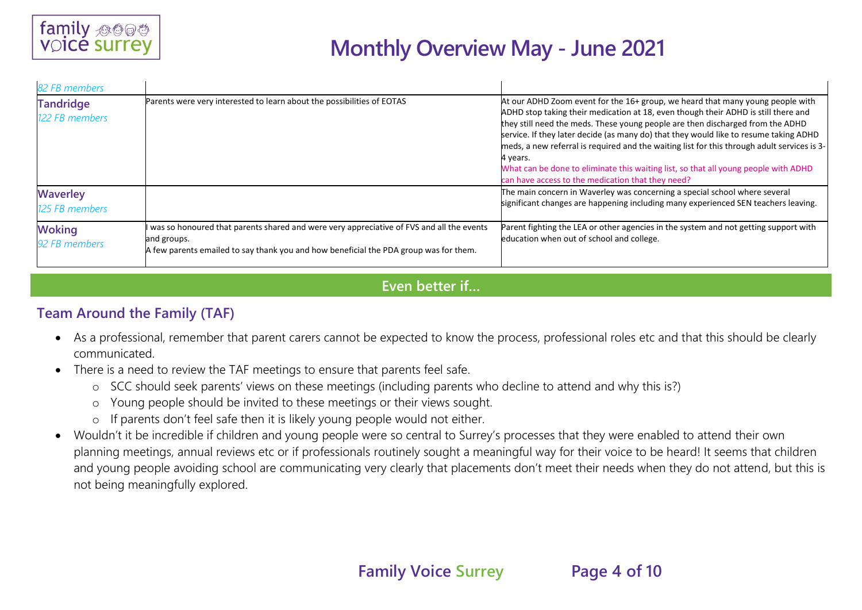

| 82 FB members                      |                                                                                                                                                                                                  |                                                                                                                                                                                                                                                                                                                                                                                                                                                                                                                                                                                                        |
|------------------------------------|--------------------------------------------------------------------------------------------------------------------------------------------------------------------------------------------------|--------------------------------------------------------------------------------------------------------------------------------------------------------------------------------------------------------------------------------------------------------------------------------------------------------------------------------------------------------------------------------------------------------------------------------------------------------------------------------------------------------------------------------------------------------------------------------------------------------|
| <b>Tandridge</b><br>122 FB members | Parents were very interested to learn about the possibilities of EOTAS                                                                                                                           | At our ADHD Zoom event for the 16+ group, we heard that many young people with<br>ADHD stop taking their medication at 18, even though their ADHD is still there and<br>they still need the meds. These young people are then discharged from the ADHD<br>service. If they later decide (as many do) that they would like to resume taking ADHD<br>meds, a new referral is required and the waiting list for this through adult services is 3-<br>4 years.<br>What can be done to eliminate this waiting list, so that all young people with ADHD<br>can have access to the medication that they need? |
| <b>Waverley</b><br>125 FB members  |                                                                                                                                                                                                  | The main concern in Waverley was concerning a special school where several<br>significant changes are happening including many experienced SEN teachers leaving.                                                                                                                                                                                                                                                                                                                                                                                                                                       |
| <b>Woking</b><br>92 FB members     | was so honoured that parents shared and were very appreciative of FVS and all the events<br>and groups.<br>A few parents emailed to say thank you and how beneficial the PDA group was for them. | Parent fighting the LEA or other agencies in the system and not getting support with<br>education when out of school and college.                                                                                                                                                                                                                                                                                                                                                                                                                                                                      |

#### **Even better if…**

#### **Team Around the Family (TAF)**

- As a professional, remember that parent carers cannot be expected to know the process, professional roles etc and that this should be clearly communicated.
- There is a need to review the TAF meetings to ensure that parents feel safe.
	- o SCC should seek parents' views on these meetings (including parents who decline to attend and why this is?)
	- o Young people should be invited to these meetings or their views sought.
	- o If parents don't feel safe then it is likely young people would not either.
- Wouldn't it be incredible if children and young people were so central to Surrey's processes that they were enabled to attend their own planning meetings, annual reviews etc or if professionals routinely sought a meaningful way for their voice to be heard! It seems that children and young people avoiding school are communicating very clearly that placements don't meet their needs when they do not attend, but this is not being meaningfully explored.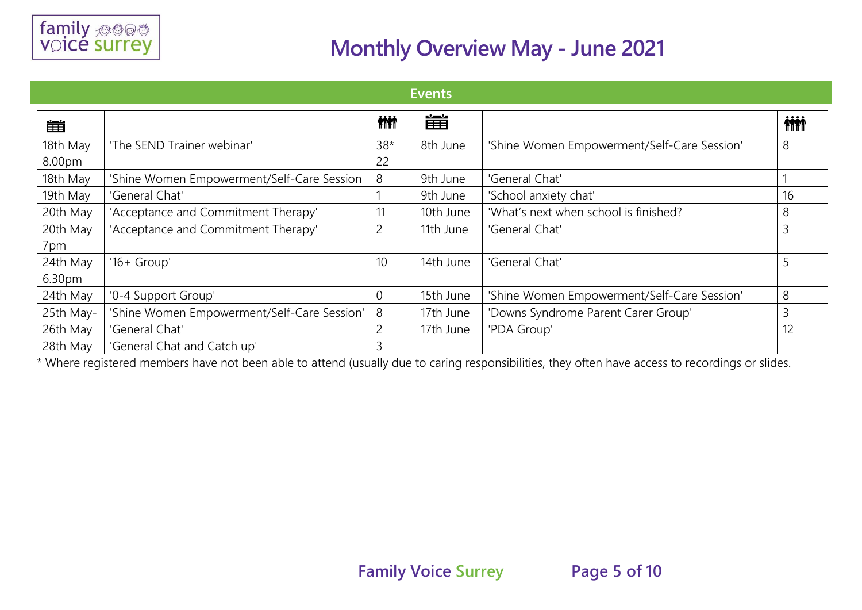

| Events             |                                             |             |           |                                             |                |
|--------------------|---------------------------------------------|-------------|-----------|---------------------------------------------|----------------|
| 凿                  |                                             | <b>MM</b>   | 凿         |                                             | <b>ini</b>     |
| 18th May<br>8.00pm | 'The SEND Trainer webinar'                  | $38*$<br>22 | 8th June  | 'Shine Women Empowerment/Self-Care Session' | 8              |
| 18th May           | 'Shine Women Empowerment/Self-Care Session  | 8           | 9th June  | 'General Chat'                              |                |
| 19th May           | 'General Chat'                              |             | 9th June  | 'School anxiety chat'                       | 16             |
| 20th May           | 'Acceptance and Commitment Therapy'         | 11          | 10th June | 'What's next when school is finished?       | 8              |
| 20th May<br>7pm    | 'Acceptance and Commitment Therapy'         | 2           | 11th June | 'General Chat'                              | $\overline{3}$ |
| 24th May<br>6.30pm | ' $16+$ Group'                              | 10          | 14th June | 'General Chat'                              | 5              |
| 24th May           | '0-4 Support Group'                         | 0           | 15th June | 'Shine Women Empowerment/Self-Care Session' | 8              |
| 25th May-          | 'Shine Women Empowerment/Self-Care Session' | 8           | 17th June | 'Downs Syndrome Parent Carer Group'         | 3              |
| 26th May           | 'General Chat'                              | 2           | 17th June | 'PDA Group'                                 | 12             |
| 28th May           | 'General Chat and Catch up'                 | 3           |           |                                             |                |

\* Where registered members have not been able to attend (usually due to caring responsibilities, they often have access to recordings or slides.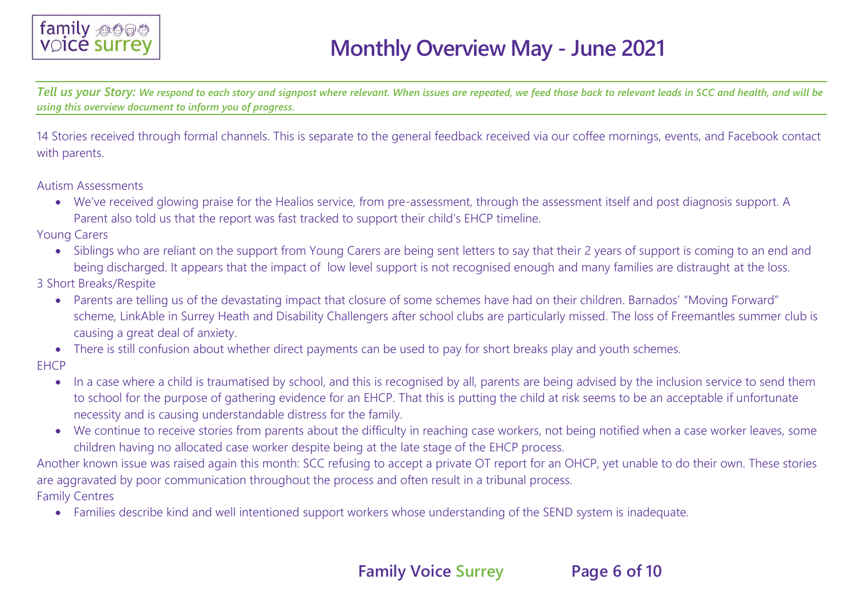

*Tell us your Story: We respond to each story and signpost where relevant. When issues are repeated, we feed those back to relevant leads in SCC and health, and will be using this overview document to inform you of progress.*

14 Stories received through formal channels. This is separate to the general feedback received via our coffee mornings, events, and Facebook contact with parents.

Autism Assessments

• We've received glowing praise for the Healios service, from pre-assessment, through the assessment itself and post diagnosis support. A Parent also told us that the report was fast tracked to support their child's EHCP timeline.

Young Carers

• Siblings who are reliant on the support from Young Carers are being sent letters to say that their 2 years of support is coming to an end and being discharged. It appears that the impact of low level support is not recognised enough and many families are distraught at the loss.

3 Short Breaks/Respite

- Parents are telling us of the devastating impact that closure of some schemes have had on their children. Barnados' "Moving Forward" scheme, LinkAble in Surrey Heath and Disability Challengers after school clubs are particularly missed. The loss of Freemantles summer club is causing a great deal of anxiety.
- There is still confusion about whether direct payments can be used to pay for short breaks play and youth schemes.

**FHCP** 

- In a case where a child is traumatised by school, and this is recognised by all, parents are being advised by the inclusion service to send them to school for the purpose of gathering evidence for an EHCP. That this is putting the child at risk seems to be an acceptable if unfortunate necessity and is causing understandable distress for the family.
- We continue to receive stories from parents about the difficulty in reaching case workers, not being notified when a case worker leaves, some children having no allocated case worker despite being at the late stage of the EHCP process.

Another known issue was raised again this month: SCC refusing to accept a private OT report for an OHCP, yet unable to do their own. These stories are aggravated by poor communication throughout the process and often result in a tribunal process.

Family Centres

• Families describe kind and well intentioned support workers whose understanding of the SEND system is inadequate.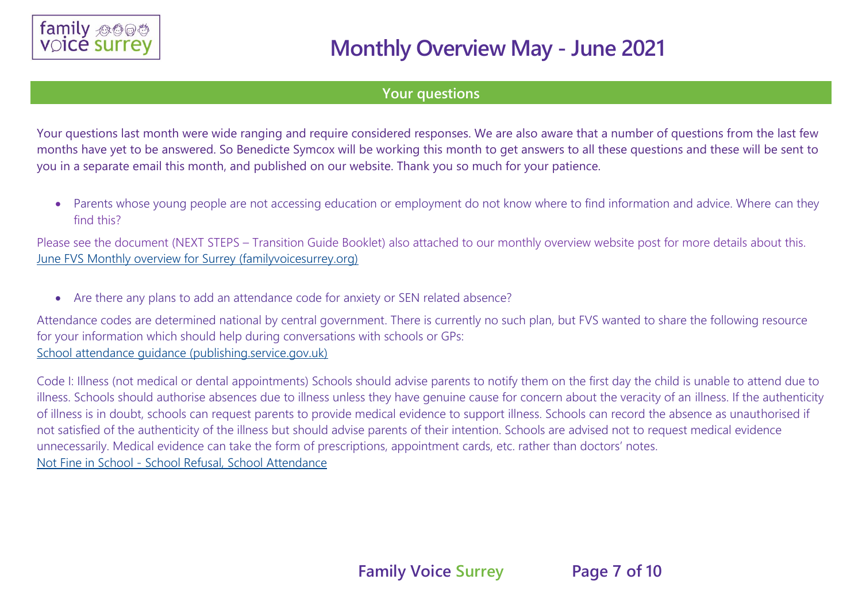

#### **Your questions**

Your questions last month were wide ranging and require considered responses. We are also aware that a number of questions from the last few months have yet to be answered. So Benedicte Symcox will be working this month to get answers to all these questions and these will be sent to you in a separate email this month, and published on our website. Thank you so much for your patience.

• Parents whose young people are not accessing education or employment do not know where to find information and advice. Where can they find this?

Please see the document (NEXT STEPS – Transition Guide Booklet) also attached to our monthly overview website post for more details about this. [June FVS Monthly overview for Surrey \(familyvoicesurrey.org\)](https://www.familyvoicesurrey.org/single-post/june-fvs-monthly-overview-for-surrey)

• Are there any plans to add an attendance code for anxiety or SEN related absence?

Attendance codes are determined national by central government. There is currently no such plan, but FVS wanted to share the following resource for your information which should help during conversations with schools or GPs: [School attendance guidance \(publishing.service.gov.uk\)](https://assets.publishing.service.gov.uk/government/uploads/system/uploads/attachment_data/file/907535/School_attendance_guidance_for_2020_to_2021_academic_year.pdf)

Code I: Illness (not medical or dental appointments) Schools should advise parents to notify them on the first day the child is unable to attend due to illness. Schools should authorise absences due to illness unless they have genuine cause for concern about the veracity of an illness. If the authenticity of illness is in doubt, schools can request parents to provide medical evidence to support illness. Schools can record the absence as unauthorised if not satisfied of the authenticity of the illness but should advise parents of their intention. Schools are advised not to request medical evidence unnecessarily. Medical evidence can take the form of prescriptions, appointment cards, etc. rather than doctors' notes. Not Fine in School - [School Refusal, School Attendance](https://notfineinschool.co.uk/#:~:text=Not%20Fine%20in%20School%20is%20a%20parent%2Fcarer-led%20organisation,promote%20use%20of%20the%20term%20%27School%20Attendance%20Barriers%27.)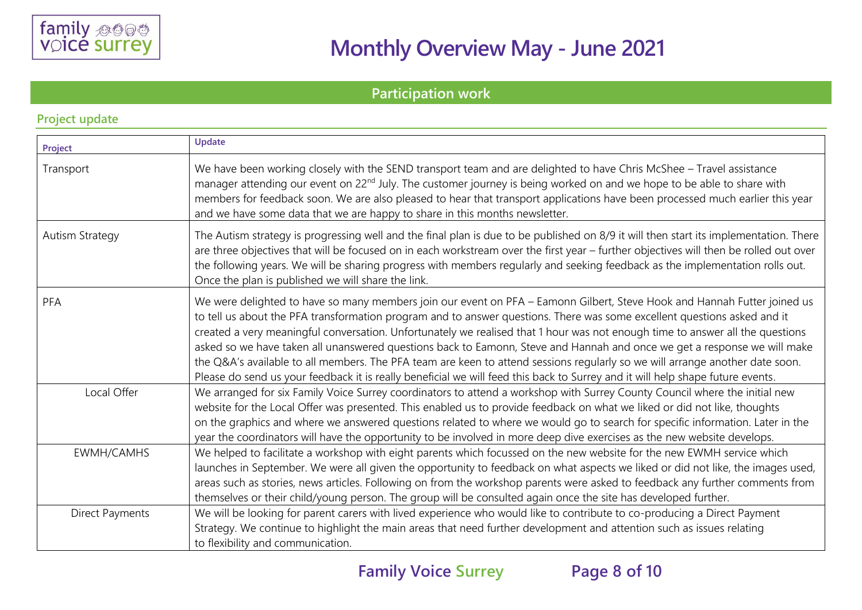

### **Participation work**

| Project                | Update                                                                                                                                                                                                                                                                                                                                                                                                                                                                                                                                                                                                                                                                                                                                                                              |
|------------------------|-------------------------------------------------------------------------------------------------------------------------------------------------------------------------------------------------------------------------------------------------------------------------------------------------------------------------------------------------------------------------------------------------------------------------------------------------------------------------------------------------------------------------------------------------------------------------------------------------------------------------------------------------------------------------------------------------------------------------------------------------------------------------------------|
| Transport              | We have been working closely with the SEND transport team and are delighted to have Chris McShee - Travel assistance<br>manager attending our event on 22 <sup>nd</sup> July. The customer journey is being worked on and we hope to be able to share with<br>members for feedback soon. We are also pleased to hear that transport applications have been processed much earlier this year<br>and we have some data that we are happy to share in this months newsletter.                                                                                                                                                                                                                                                                                                          |
| <b>Autism Strategy</b> | The Autism strategy is progressing well and the final plan is due to be published on 8/9 it will then start its implementation. There<br>are three objectives that will be focused on in each workstream over the first year - further objectives will then be rolled out over<br>the following years. We will be sharing progress with members regularly and seeking feedback as the implementation rolls out.<br>Once the plan is published we will share the link.                                                                                                                                                                                                                                                                                                               |
| PFA                    | We were delighted to have so many members join our event on PFA - Eamonn Gilbert, Steve Hook and Hannah Futter joined us<br>to tell us about the PFA transformation program and to answer questions. There was some excellent questions asked and it<br>created a very meaningful conversation. Unfortunately we realised that 1 hour was not enough time to answer all the questions<br>asked so we have taken all unanswered questions back to Eamonn, Steve and Hannah and once we get a response we will make<br>the Q&A's available to all members. The PFA team are keen to attend sessions regularly so we will arrange another date soon.<br>Please do send us your feedback it is really beneficial we will feed this back to Surrey and it will help shape future events. |
| Local Offer            | We arranged for six Family Voice Surrey coordinators to attend a workshop with Surrey County Council where the initial new<br>website for the Local Offer was presented. This enabled us to provide feedback on what we liked or did not like, thoughts<br>on the graphics and where we answered questions related to where we would go to search for specific information. Later in the<br>year the coordinators will have the opportunity to be involved in more deep dive exercises as the new website develops.                                                                                                                                                                                                                                                                 |
| EWMH/CAMHS             | We helped to facilitate a workshop with eight parents which focussed on the new website for the new EWMH service which<br>launches in September. We were all given the opportunity to feedback on what aspects we liked or did not like, the images used,<br>areas such as stories, news articles. Following on from the workshop parents were asked to feedback any further comments from<br>themselves or their child/young person. The group will be consulted again once the site has developed further.                                                                                                                                                                                                                                                                        |
| <b>Direct Payments</b> | We will be looking for parent carers with lived experience who would like to contribute to co-producing a Direct Payment<br>Strategy. We continue to highlight the main areas that need further development and attention such as issues relating<br>to flexibility and communication.                                                                                                                                                                                                                                                                                                                                                                                                                                                                                              |

#### **Project update**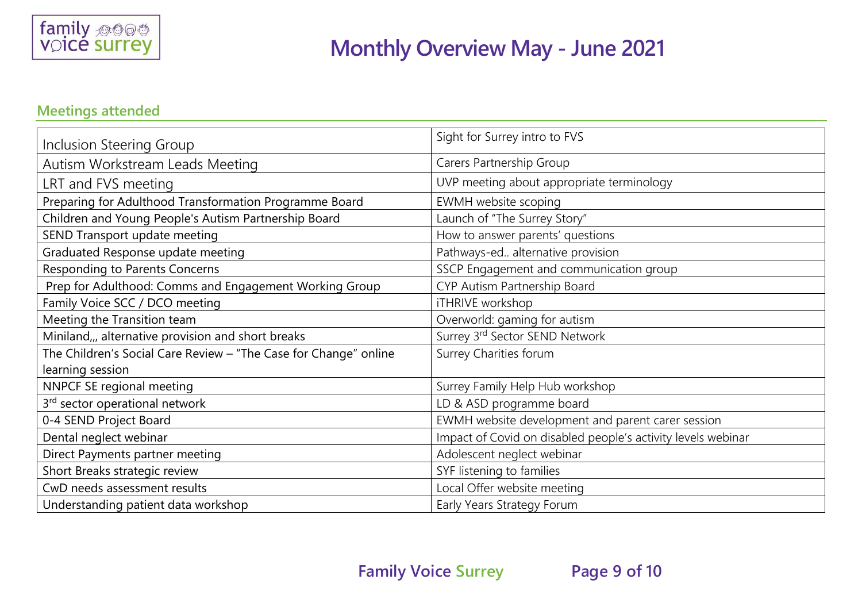

### **Meetings attended**

| Inclusion Steering Group                                         | Sight for Surrey intro to FVS                                |
|------------------------------------------------------------------|--------------------------------------------------------------|
| Autism Workstream Leads Meeting                                  | Carers Partnership Group                                     |
| LRT and FVS meeting                                              | UVP meeting about appropriate terminology                    |
| Preparing for Adulthood Transformation Programme Board           | EWMH website scoping                                         |
| Children and Young People's Autism Partnership Board             | Launch of "The Surrey Story"                                 |
| SEND Transport update meeting                                    | How to answer parents' questions                             |
| Graduated Response update meeting                                | Pathways-ed alternative provision                            |
| Responding to Parents Concerns                                   | SSCP Engagement and communication group                      |
| Prep for Adulthood: Comms and Engagement Working Group           | CYP Autism Partnership Board                                 |
| Family Voice SCC / DCO meeting                                   | iTHRIVE workshop                                             |
| Meeting the Transition team                                      | Overworld: gaming for autism                                 |
| Miniland,, alternative provision and short breaks                | Surrey 3rd Sector SEND Network                               |
| The Children's Social Care Review - "The Case for Change" online | Surrey Charities forum                                       |
| learning session                                                 |                                                              |
| NNPCF SE regional meeting                                        | Surrey Family Help Hub workshop                              |
| 3rd sector operational network                                   | LD & ASD programme board                                     |
| 0-4 SEND Project Board                                           | EWMH website development and parent carer session            |
| Dental neglect webinar                                           | Impact of Covid on disabled people's activity levels webinar |
| Direct Payments partner meeting                                  | Adolescent neglect webinar                                   |
| Short Breaks strategic review                                    | SYF listening to families                                    |
| CwD needs assessment results                                     | Local Offer website meeting                                  |
| Understanding patient data workshop                              | Early Years Strategy Forum                                   |